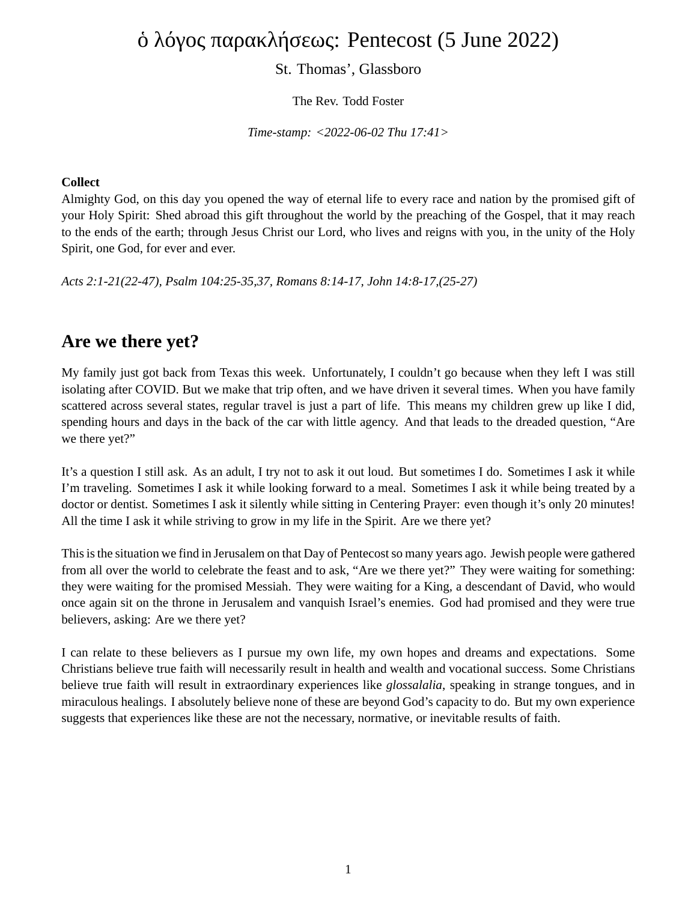# ὁ λόγος παρακλήσεως: Pentecost (5 June 2022)

#### St. Thomas', Glassboro

The Rev. Todd Foster

*Time-stamp: <2022-06-02 Thu 17:41>*

#### **Collect**

Almighty God, on this day you opened the way of eternal life to every race and nation by the promised gift of your Holy Spirit: Shed abroad this gift throughout the world by the preaching of the Gospel, that it may reach to the ends of the earth; through Jesus Christ our Lord, who lives and reigns with you, in the unity of the Holy Spirit, one God, for ever and ever.

*Acts 2:1-21(22-47), Psalm 104:25-35,37, Romans 8:14-17, John 14:8-17,(25-27)*

### **Are we there yet?**

My family just got back from Texas this week. Unfortunately, I couldn't go because when they left I was still isolating after COVID. But we make that trip often, and we have driven it several times. When you have family scattered across several states, regular travel is just a part of life. This means my children grew up like I did, spending hours and days in the back of the car with little agency. And that leads to the dreaded question, "Are we there yet?"

It's a question I still ask. As an adult, I try not to ask it out loud. But sometimes I do. Sometimes I ask it while I'm traveling. Sometimes I ask it while looking forward to a meal. Sometimes I ask it while being treated by a doctor or dentist. Sometimes I ask it silently while sitting in Centering Prayer: even though it's only 20 minutes! All the time I ask it while striving to grow in my life in the Spirit. Are we there yet?

This is the situation we find in Jerusalem on that Day of Pentecost so many years ago. Jewish people were gathered from all over the world to celebrate the feast and to ask, "Are we there yet?" They were waiting for something: they were waiting for the promised Messiah. They were waiting for a King, a descendant of David, who would once again sit on the throne in Jerusalem and vanquish Israel's enemies. God had promised and they were true believers, asking: Are we there yet?

I can relate to these believers as I pursue my own life, my own hopes and dreams and expectations. Some Christians believe true faith will necessarily result in health and wealth and vocational success. Some Christians believe true faith will result in extraordinary experiences like *glossalalia*, speaking in strange tongues, and in miraculous healings. I absolutely believe none of these are beyond God's capacity to do. But my own experience suggests that experiences like these are not the necessary, normative, or inevitable results of faith.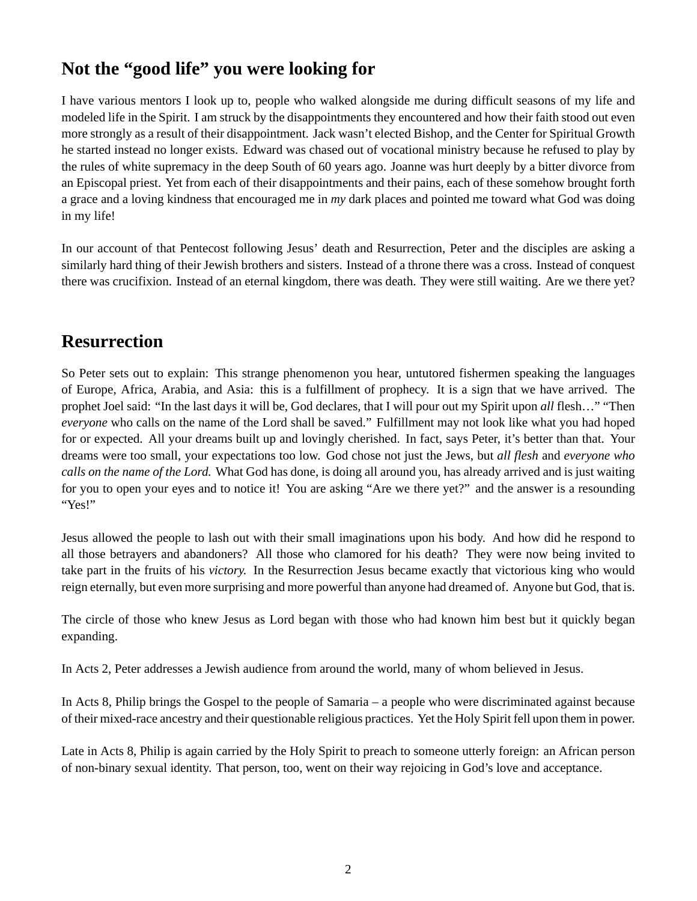# **Not the "good life" you were looking for**

I have various mentors I look up to, people who walked alongside me during difficult seasons of my life and modeled life in the Spirit. I am struck by the disappointments they encountered and how their faith stood out even more strongly as a result of their disappointment. Jack wasn't elected Bishop, and the Center for Spiritual Growth he started instead no longer exists. Edward was chased out of vocational ministry because he refused to play by the rules of white supremacy in the deep South of 60 years ago. Joanne was hurt deeply by a bitter divorce from an Episcopal priest. Yet from each of their disappointments and their pains, each of these somehow brought forth a grace and a loving kindness that encouraged me in *my* dark places and pointed me toward what God was doing in my life!

In our account of that Pentecost following Jesus' death and Resurrection, Peter and the disciples are asking a similarly hard thing of their Jewish brothers and sisters. Instead of a throne there was a cross. Instead of conquest there was crucifixion. Instead of an eternal kingdom, there was death. They were still waiting. Are we there yet?

### **Resurrection**

So Peter sets out to explain: This strange phenomenon you hear, untutored fishermen speaking the languages of Europe, Africa, Arabia, and Asia: this is a fulfillment of prophecy. It is a sign that we have arrived. The prophet Joel said: "In the last days it will be, God declares, that I will pour out my Spirit upon *all* flesh…" "Then *everyone* who calls on the name of the Lord shall be saved." Fulfillment may not look like what you had hoped for or expected. All your dreams built up and lovingly cherished. In fact, says Peter, it's better than that. Your dreams were too small, your expectations too low. God chose not just the Jews, but *all flesh* and *everyone who calls on the name of the Lord.* What God has done, is doing all around you, has already arrived and is just waiting for you to open your eyes and to notice it! You are asking "Are we there yet?" and the answer is a resounding "Yes!"

Jesus allowed the people to lash out with their small imaginations upon his body. And how did he respond to all those betrayers and abandoners? All those who clamored for his death? They were now being invited to take part in the fruits of his *victory.* In the Resurrection Jesus became exactly that victorious king who would reign eternally, but even more surprising and more powerful than anyone had dreamed of. Anyone but God, that is.

The circle of those who knew Jesus as Lord began with those who had known him best but it quickly began expanding.

In Acts 2, Peter addresses a Jewish audience from around the world, many of whom believed in Jesus.

In Acts 8, Philip brings the Gospel to the people of Samaria – a people who were discriminated against because of their mixed-race ancestry and their questionable religious practices. Yet the Holy Spirit fell upon them in power.

Late in Acts 8, Philip is again carried by the Holy Spirit to preach to someone utterly foreign: an African person of non-binary sexual identity. That person, too, went on their way rejoicing in God's love and acceptance.